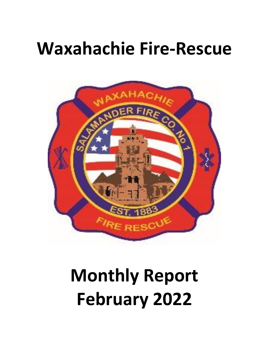## **Waxahachie Fire-Rescue**



# **Monthly Report February 2022**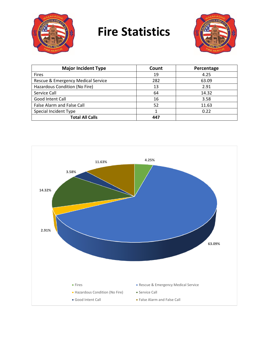

## **Fire Statistics**



| <b>Major Incident Type</b>         | Count | Percentage |
|------------------------------------|-------|------------|
| <b>Fires</b>                       | 19    | 4.25       |
| Rescue & Emergency Medical Service | 282   | 63.09      |
| Hazardous Condition (No Fire)      | 13    | 2.91       |
| Service Call                       | 64    | 14.32      |
| Good Intent Call                   | 16    | 3.58       |
| <b>False Alarm and False Call</b>  | 52    | 11.63      |
| Special Incident Type              |       | 0.22       |
| <b>Total All Calls</b>             | 447   |            |

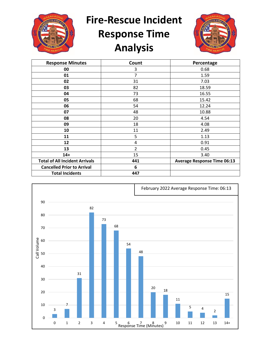

**Fire-Rescue Incident** 

### **Response Time Analysis**



| <b>Response Minutes</b>               | Count          | Percentage                         |
|---------------------------------------|----------------|------------------------------------|
| 00                                    | 3              | 0.68                               |
| 01                                    | 7              | 1.59                               |
| 02                                    | 31             | 7.03                               |
| 03                                    | 82             | 18.59                              |
| 04                                    | 73             | 16.55                              |
| 05                                    | 68             | 15.42                              |
| 06                                    | 54             | 12.24                              |
| 07                                    | 48             | 10.88                              |
| 08                                    | 20             | 4.54                               |
| 09                                    | 18             | 4.08                               |
| 10                                    | 11             | 2.49                               |
| 11                                    | 5              | 1.13                               |
| 12                                    | 4              | 0.91                               |
| 13                                    | $\overline{2}$ | 0.45                               |
| $14+$                                 | 15             | 3.40                               |
| <b>Total of All Incident Arrivals</b> | 441            | <b>Average Response Time 06:13</b> |
| <b>Cancelled Prior to Arrival</b>     | 6              |                                    |
| <b>Total Incidents</b>                | 447            |                                    |

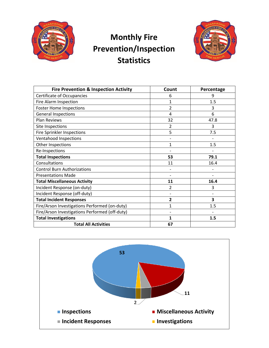

#### **Monthly Fire Prevention/Inspection Statistics**



| <b>Fire Prevention &amp; Inspection Activity</b> | Count        | Percentage |
|--------------------------------------------------|--------------|------------|
| Certificate of Occupancies                       | 6            | 9          |
| Fire Alarm Inspection                            | $\mathbf{1}$ | 1.5        |
| <b>Foster Home Inspections</b>                   | 2            | 3          |
| <b>General Inspections</b>                       | 4            | 6          |
| <b>Plan Reviews</b>                              | 32           | 47.8       |
| Site Inspections                                 | 2            | 3          |
| <b>Fire Sprinkler Inspections</b>                | 5            | 7.5        |
| Ventahood Inspections                            |              |            |
| Other Inspections                                | $\mathbf{1}$ | 1.5        |
| Re-Inspections                                   |              |            |
| <b>Total Inspections</b>                         | 53           | 79.1       |
| Consultations                                    | 11           | 16.4       |
| <b>Control Burn Authorizations</b>               |              |            |
| <b>Presentations Made</b>                        |              |            |
| <b>Total Miscellaneous Activity</b>              | 11           | 16.4       |
| Incident Response (on-duty)                      | 2            | 3          |
| Incident Response (off-duty)                     |              |            |
| <b>Total Incident Responses</b>                  | 2            | 3          |
| Fire/Arson Investigations Performed (on-duty)    | 1            | 1.5        |
| Fire/Arson Investigations Performed (off-duty)   |              |            |
| <b>Total Investigations</b>                      | $\mathbf{1}$ | 1.5        |
| <b>Total All Activities</b>                      | 67           |            |